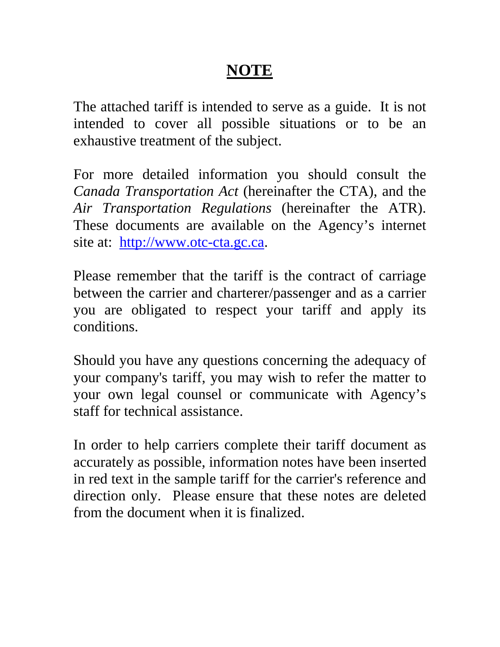# **NOTE**

The attached tariff is intended to serve as a guide. It is not intended to cover all possible situations or to be an exhaustive treatment of the subject.

For more detailed information you should consult the *Canada Transportation Act* (hereinafter the CTA), and the *Air Transportation Regulations* (hereinafter the ATR). These documents are available on the Agency's internet site at: [http://www.otc-cta.gc.ca.](http://www.otc-cta.gc.ca/)

Please remember that the tariff is the contract of carriage between the carrier and charterer/passenger and as a carrier you are obligated to respect your tariff and apply its conditions.

Should you have any questions concerning the adequacy of your company's tariff, you may wish to refer the matter to your own legal counsel or communicate with Agency's staff for technical assistance.

In order to help carriers complete their tariff document as accurately as possible, information notes have been inserted in red text in the sample tariff for the carrier's reference and direction only. Please ensure that these notes are deleted from the document when it is finalized.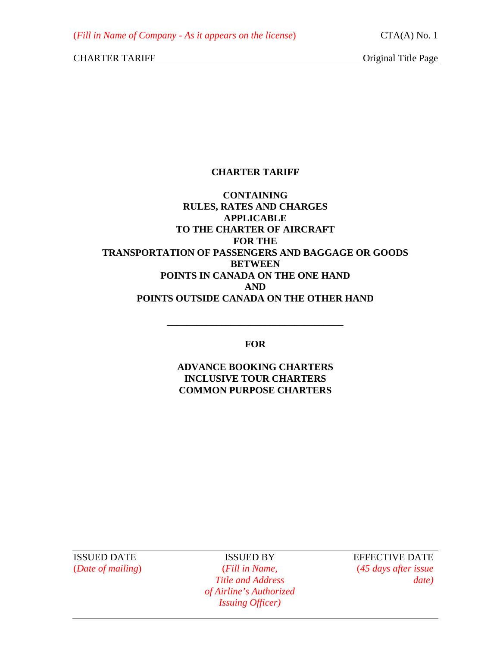# **CHARTER TARIFF**

# **CONTAINING RULES, RATES AND CHARGES APPLICABLE TO THE CHARTER OF AIRCRAFT FOR THE TRANSPORTATION OF PASSENGERS AND BAGGAGE OR GOODS BETWEEN POINTS IN CANADA ON THE ONE HAND AND POINTS OUTSIDE CANADA ON THE OTHER HAND**

**FOR** 

**\_\_\_\_\_\_\_\_\_\_\_\_\_\_\_\_\_\_\_\_\_\_\_\_\_\_\_\_\_\_\_\_\_\_\_\_** 

**ADVANCE BOOKING CHARTERS INCLUSIVE TOUR CHARTERS COMMON PURPOSE CHARTERS** 

ISSUED DATE ISSUED BY EFFECTIVE DATE

(*Date of mailing*) (*Fill in Name,* (*45 days after issue Title and Address date) of Airline's Authorized Issuing Officer)*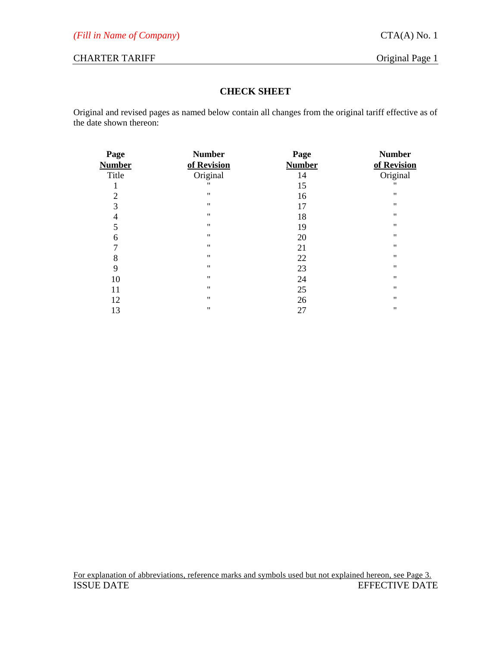# **CHECK SHEET**

Original and revised pages as named below contain all changes from the original tariff effective as of the date shown thereon:

| Page           | <b>Number</b>      | Page          | <b>Number</b>      |
|----------------|--------------------|---------------|--------------------|
| <b>Number</b>  | of Revision        | <b>Number</b> | of Revision        |
| Title          | Original           | 14            | Original           |
| ı              | $^{\dagger}$       | 15            | "                  |
| $\overline{2}$ | $^{\dagger}$       | 16            | $\pmb{\mathsf{H}}$ |
| 3              | $\pmb{\mathsf{H}}$ | 17            | $\pmb{\mathsf{H}}$ |
| 4              | $\pmb{\mathsf{H}}$ | 18            | $\pmb{\mathsf{H}}$ |
| 5              | $^{\bullet}$       | 19            | $\pmb{\mathsf{H}}$ |
| 6              | $\pmb{\mathsf{H}}$ | 20            | $\pmb{\mathsf{H}}$ |
| 7              | $^{\bullet}$       | 21            | $\pmb{\mathsf{H}}$ |
| 8              | $^{\bullet}$       | 22            | $^{\prime\prime}$  |
| 9              | $^{\dagger}$       | 23            | $\pmb{\mathsf{H}}$ |
| 10             | $^{\prime\prime}$  | 24            | $^{\prime\prime}$  |
| 11             | $^{\prime\prime}$  | 25            | $\pmb{\mathsf{H}}$ |
| 12             | $^{\prime\prime}$  | 26            | $\pmb{\mathsf{H}}$ |
| 13             | $^{\prime\prime}$  | 27            | $\pmb{\mathsf{H}}$ |
|                |                    |               |                    |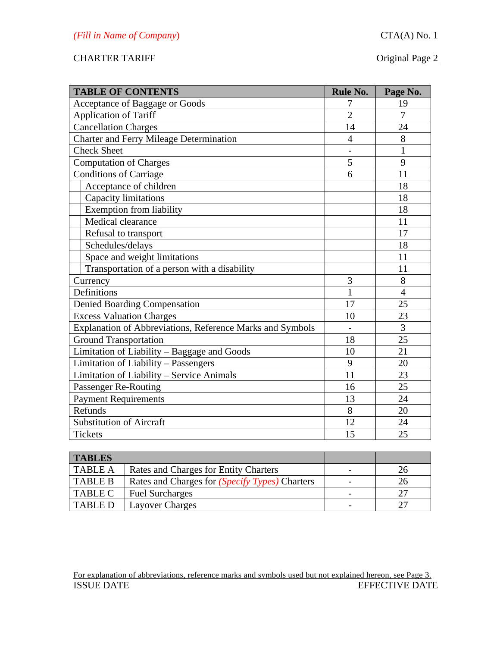| <b>TABLE OF CONTENTS</b>                                  | <b>Rule No.</b> | Page No.       |
|-----------------------------------------------------------|-----------------|----------------|
| Acceptance of Baggage or Goods                            | 7               | 19             |
| Application of Tariff                                     | $\overline{2}$  | 7              |
| Cancellation Charges                                      | 14              | 24             |
| <b>Charter and Ferry Mileage Determination</b>            | $\overline{4}$  | 8              |
| <b>Check Sheet</b>                                        |                 | $\mathbf{1}$   |
| <b>Computation of Charges</b>                             | 5               | 9              |
| <b>Conditions of Carriage</b>                             | 6               | 11             |
| Acceptance of children                                    |                 | 18             |
| <b>Capacity limitations</b>                               |                 | 18             |
| <b>Exemption from liability</b>                           |                 | 18             |
| Medical clearance                                         |                 | 11             |
| Refusal to transport                                      |                 | 17             |
| Schedules/delays                                          |                 | 18             |
| Space and weight limitations                              |                 | 11             |
| Transportation of a person with a disability              |                 | 11             |
| Currency                                                  | 3               | 8              |
| Definitions                                               | 1               | $\overline{4}$ |
| <b>Denied Boarding Compensation</b>                       | 17              | 25             |
| <b>Excess Valuation Charges</b>                           | 10              | 23             |
| Explanation of Abbreviations, Reference Marks and Symbols |                 | 3              |
| <b>Ground Transportation</b>                              | 18              | 25             |
| Limitation of Liability - Baggage and Goods               | 10              | 21             |
| Limitation of Liability - Passengers                      | 9               | 20             |
| Limitation of Liability - Service Animals                 | 11              | 23             |
| Passenger Re-Routing                                      | 16              | 25             |
| <b>Payment Requirements</b>                               | 13              | 24             |
| Refunds                                                   | 8               | 20             |
| <b>Substitution of Aircraft</b>                           | 12              | 24             |
| Tickets                                                   | 15              | 25             |

| <b>TABLES</b>  |                                                       |    |
|----------------|-------------------------------------------------------|----|
| <b>TABLE A</b> | Rates and Charges for Entity Charters                 |    |
| <b>TABLE B</b> | Rates and Charges for <i>(Specify Types)</i> Charters |    |
| <b>TABLE C</b> | <b>Fuel Surcharges</b>                                | クワ |
| <b>TABLE D</b> | <b>Layover Charges</b>                                | າາ |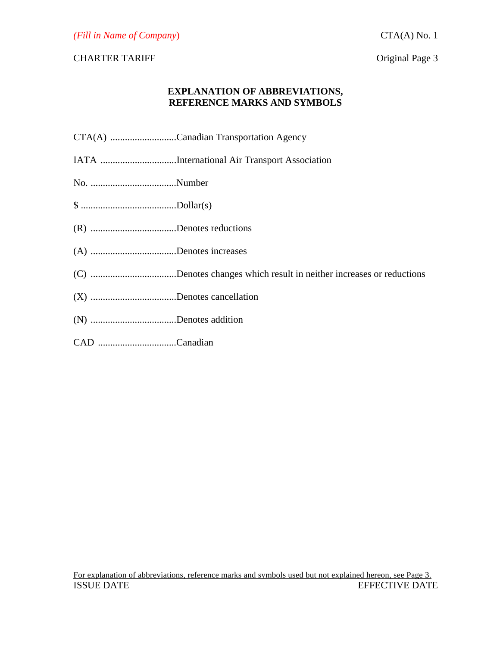# **EXPLANATION OF ABBREVIATIONS, REFERENCE MARKS AND SYMBOLS**

|--|--|

- IATA ...............................International Air Transport Association
- No. ...................................Number
- \$ .......................................Dollar(s)
- (R) ...................................Denotes reductions
- (A) ...................................Denotes increases
- (C) ...................................Denotes changes which result in neither increases or reductions
- (X) ...................................Denotes cancellation
- (N) ...................................Denotes addition
- CAD ................................Canadian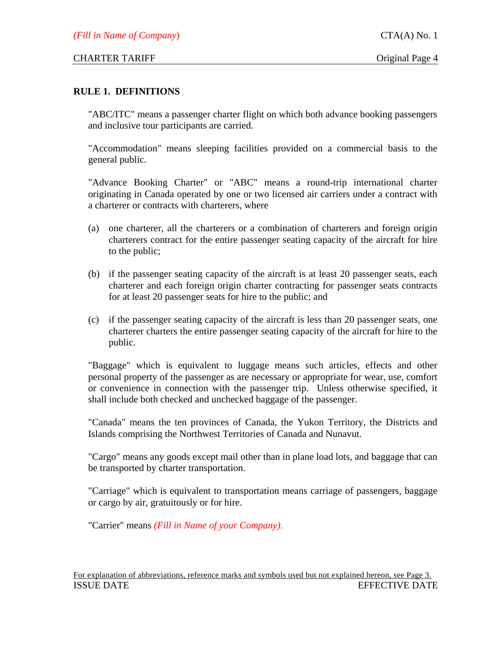#### **RULE 1. DEFINITIONS**

"ABC/ITC" means a passenger charter flight on which both advance booking passengers and inclusive tour participants are carried.

"Accommodation" means sleeping facilities provided on a commercial basis to the general public.

"Advance Booking Charter" or "ABC" means a round-trip international charter originating in Canada operated by one or two licensed air carriers under a contract with a charterer or contracts with charterers, where

- (a) one charterer, all the charterers or a combination of charterers and foreign origin charterers contract for the entire passenger seating capacity of the aircraft for hire to the public;
- (b) if the passenger seating capacity of the aircraft is at least 20 passenger seats, each charterer and each foreign origin charter contracting for passenger seats contracts for at least 20 passenger seats for hire to the public; and
- (c) if the passenger seating capacity of the aircraft is less than 20 passenger seats, one charterer charters the entire passenger seating capacity of the aircraft for hire to the public.

"Baggage" which is equivalent to luggage means such articles, effects and other personal property of the passenger as are necessary or appropriate for wear, use, comfort or convenience in connection with the passenger trip. Unless otherwise specified, it shall include both checked and unchecked baggage of the passenger.

"Canada" means the ten provinces of Canada, the Yukon Territory, the Districts and Islands comprising the Northwest Territories of Canada and Nunavut.

"Cargo" means any goods except mail other than in plane load lots, and baggage that can be transported by charter transportation.

"Carriage" which is equivalent to transportation means carriage of passengers, baggage or cargo by air, gratuitously or for hire.

"Carrier" means *(Fill in Name of your Company)*.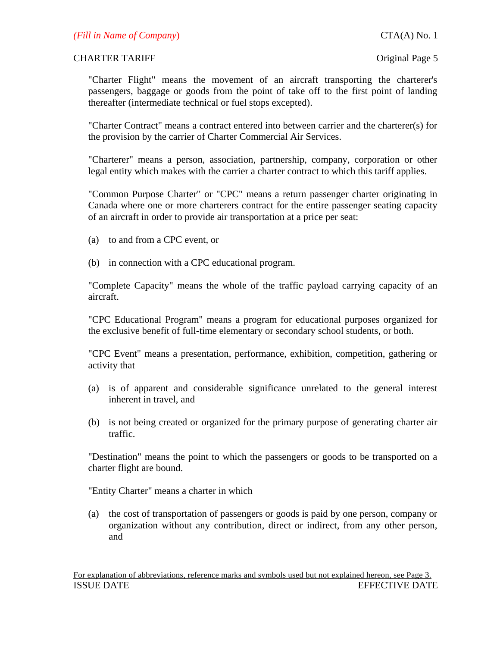"Charter Flight" means the movement of an aircraft transporting the charterer's passengers, baggage or goods from the point of take off to the first point of landing thereafter (intermediate technical or fuel stops excepted).

"Charter Contract" means a contract entered into between carrier and the charterer(s) for the provision by the carrier of Charter Commercial Air Services.

"Charterer" means a person, association, partnership, company, corporation or other legal entity which makes with the carrier a charter contract to which this tariff applies.

"Common Purpose Charter" or "CPC" means a return passenger charter originating in Canada where one or more charterers contract for the entire passenger seating capacity of an aircraft in order to provide air transportation at a price per seat:

- (a) to and from a CPC event, or
- (b) in connection with a CPC educational program.

"Complete Capacity" means the whole of the traffic payload carrying capacity of an aircraft.

"CPC Educational Program" means a program for educational purposes organized for the exclusive benefit of full-time elementary or secondary school students, or both.

"CPC Event" means a presentation, performance, exhibition, competition, gathering or activity that

- (a) is of apparent and considerable significance unrelated to the general interest inherent in travel, and
- (b) is not being created or organized for the primary purpose of generating charter air traffic.

"Destination" means the point to which the passengers or goods to be transported on a charter flight are bound.

"Entity Charter" means a charter in which

 (a) the cost of transportation of passengers or goods is paid by one person, company or organization without any contribution, direct or indirect, from any other person, and

For explanation of abbreviations, reference marks and symbols used but not explained hereon, see Page 3. **ISSUE DATE** EXECUTE A REPORT OF THE EFFECTIVE DATE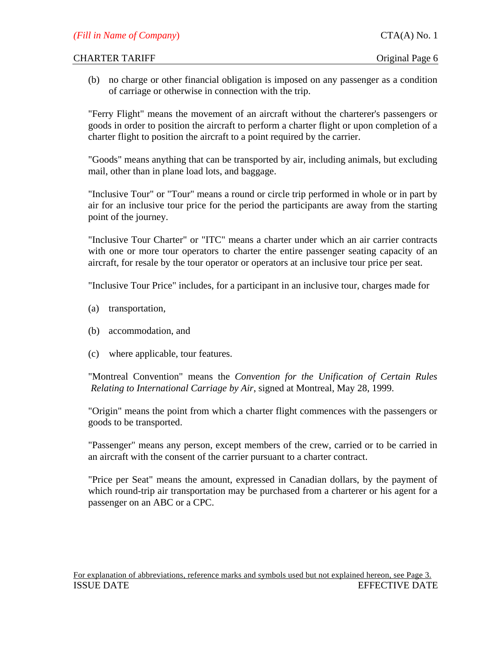(b) no charge or other financial obligation is imposed on any passenger as a condition of carriage or otherwise in connection with the trip.

"Ferry Flight" means the movement of an aircraft without the charterer's passengers or goods in order to position the aircraft to perform a charter flight or upon completion of a charter flight to position the aircraft to a point required by the carrier.

"Goods" means anything that can be transported by air, including animals, but excluding mail, other than in plane load lots, and baggage.

"Inclusive Tour" or "Tour" means a round or circle trip performed in whole or in part by air for an inclusive tour price for the period the participants are away from the starting point of the journey.

"Inclusive Tour Charter" or "ITC" means a charter under which an air carrier contracts with one or more tour operators to charter the entire passenger seating capacity of an aircraft, for resale by the tour operator or operators at an inclusive tour price per seat.

"Inclusive Tour Price" includes, for a participant in an inclusive tour, charges made for

- (a) transportation,
- (b) accommodation, and
- (c) where applicable, tour features.

 "Montreal Convention" means the *Convention for the Unification of Certain Rules Relating to International Carriage by Air*, signed at Montreal, May 28, 1999.

"Origin" means the point from which a charter flight commences with the passengers or goods to be transported.

"Passenger" means any person, except members of the crew, carried or to be carried in an aircraft with the consent of the carrier pursuant to a charter contract.

"Price per Seat" means the amount, expressed in Canadian dollars, by the payment of which round-trip air transportation may be purchased from a charterer or his agent for a passenger on an ABC or a CPC.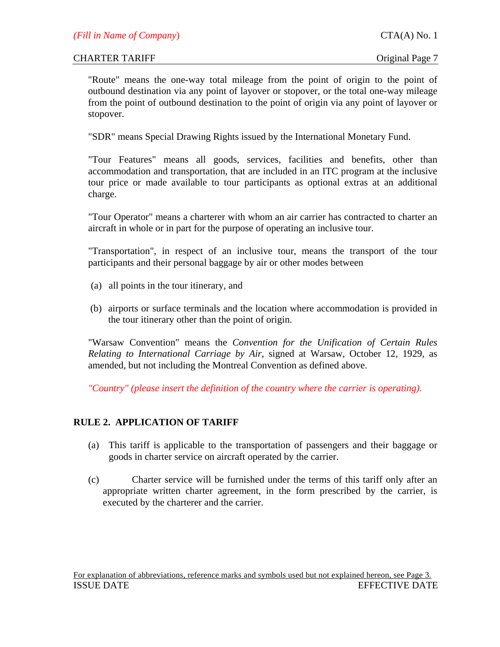"Route" means the one-way total mileage from the point of origin to the point of outbound destination via any point of layover or stopover, or the total one-way mileage from the point of outbound destination to the point of origin via any point of layover or stopover.

"SDR" means Special Drawing Rights issued by the International Monetary Fund.

"Tour Features" means all goods, services, facilities and benefits, other than accommodation and transportation, that are included in an ITC program at the inclusive tour price or made available to tour participants as optional extras at an additional charge.

"Tour Operator" means a charterer with whom an air carrier has contracted to charter an aircraft in whole or in part for the purpose of operating an inclusive tour.

"Transportation", in respect of an inclusive tour, means the transport of the tour participants and their personal baggage by air or other modes between

- (a) all points in the tour itinerary, and
- (b) airports or surface terminals and the location where accommodation is provided in the tour itinerary other than the point of origin.

"Warsaw Convention" means the *Convention for the Unification of Certain Rules Relating to International Carriage by Air*, signed at Warsaw, October 12, 1929, as amended, but not including the Montreal Convention as defined above.

*"Country" (please insert the definition of the country where the carrier is operating).* 

# **RULE 2. APPLICATION OF TARIFF**

- (a) This tariff is applicable to the transportation of passengers and their baggage or goods in charter service on aircraft operated by the carrier.
- (c) Charter service will be furnished under the terms of this tariff only after an appropriate written charter agreement, in the form prescribed by the carrier, is executed by the charterer and the carrier.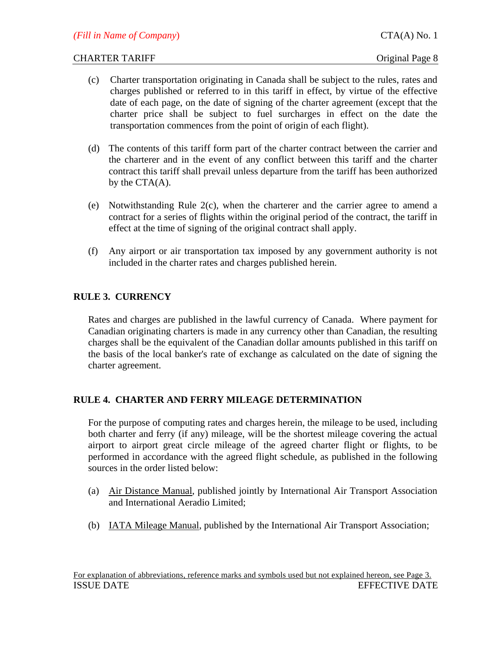- (c) Charter transportation originating in Canada shall be subject to the rules, rates and charges published or referred to in this tariff in effect, by virtue of the effective date of each page, on the date of signing of the charter agreement (except that the charter price shall be subject to fuel surcharges in effect on the date the transportation commences from the point of origin of each flight).
- (d) The contents of this tariff form part of the charter contract between the carrier and the charterer and in the event of any conflict between this tariff and the charter contract this tariff shall prevail unless departure from the tariff has been authorized by the CTA(A).
- (e) Notwithstanding Rule 2(c), when the charterer and the carrier agree to amend a contract for a series of flights within the original period of the contract, the tariff in effect at the time of signing of the original contract shall apply.
- (f) Any airport or air transportation tax imposed by any government authority is not included in the charter rates and charges published herein.

# **RULE 3. CURRENCY**

Rates and charges are published in the lawful currency of Canada. Where payment for Canadian originating charters is made in any currency other than Canadian, the resulting charges shall be the equivalent of the Canadian dollar amounts published in this tariff on the basis of the local banker's rate of exchange as calculated on the date of signing the charter agreement.

# **RULE 4. CHARTER AND FERRY MILEAGE DETERMINATION**

For the purpose of computing rates and charges herein, the mileage to be used, including both charter and ferry (if any) mileage, will be the shortest mileage covering the actual airport to airport great circle mileage of the agreed charter flight or flights, to be performed in accordance with the agreed flight schedule, as published in the following sources in the order listed below:

- (a) Air Distance Manual, published jointly by International Air Transport Association and International Aeradio Limited;
- (b) IATA Mileage Manual, published by the International Air Transport Association;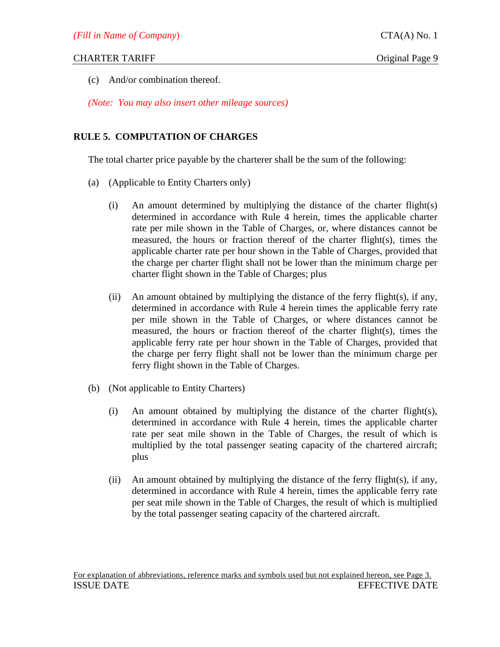(c) And/or combination thereof.

*(Note: You may also insert other mileage sources)*

# **RULE 5. COMPUTATION OF CHARGES**

The total charter price payable by the charterer shall be the sum of the following:

- (a) (Applicable to Entity Charters only)
	- (i) An amount determined by multiplying the distance of the charter flight(s) determined in accordance with Rule 4 herein, times the applicable charter rate per mile shown in the Table of Charges, or, where distances cannot be measured, the hours or fraction thereof of the charter flight(s), times the applicable charter rate per hour shown in the Table of Charges, provided that the charge per charter flight shall not be lower than the minimum charge per charter flight shown in the Table of Charges; plus
	- (ii) An amount obtained by multiplying the distance of the ferry flight(s), if any, determined in accordance with Rule 4 herein times the applicable ferry rate per mile shown in the Table of Charges, or where distances cannot be measured, the hours or fraction thereof of the charter flight(s), times the applicable ferry rate per hour shown in the Table of Charges, provided that the charge per ferry flight shall not be lower than the minimum charge per ferry flight shown in the Table of Charges.
- (b) (Not applicable to Entity Charters)
	- (i) An amount obtained by multiplying the distance of the charter flight(s), determined in accordance with Rule 4 herein, times the applicable charter rate per seat mile shown in the Table of Charges, the result of which is multiplied by the total passenger seating capacity of the chartered aircraft; plus
	- (ii) An amount obtained by multiplying the distance of the ferry flight(s), if any, determined in accordance with Rule 4 herein, times the applicable ferry rate per seat mile shown in the Table of Charges, the result of which is multiplied by the total passenger seating capacity of the chartered aircraft.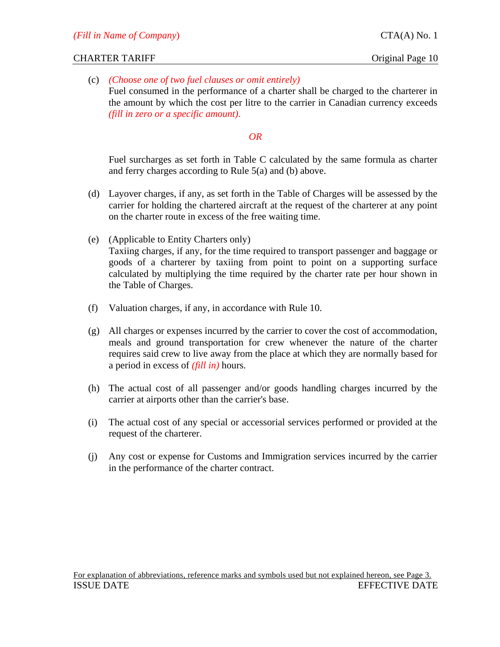(c) *(Choose one of two fuel clauses or omit entirely)* Fuel consumed in the performance of a charter shall be charged to the charterer in the amount by which the cost per litre to the carrier in Canadian currency exceeds *(fill in zero or a specific amount)*.

# *OR*

 Fuel surcharges as set forth in Table C calculated by the same formula as charter and ferry charges according to Rule 5(a) and (b) above.

- (d) Layover charges, if any, as set forth in the Table of Charges will be assessed by the carrier for holding the chartered aircraft at the request of the charterer at any point on the charter route in excess of the free waiting time.
- (e) (Applicable to Entity Charters only) Taxiing charges, if any, for the time required to transport passenger and baggage or goods of a charterer by taxiing from point to point on a supporting surface calculated by multiplying the time required by the charter rate per hour shown in the Table of Charges.
- (f) Valuation charges, if any, in accordance with Rule 10.
- (g) All charges or expenses incurred by the carrier to cover the cost of accommodation, meals and ground transportation for crew whenever the nature of the charter requires said crew to live away from the place at which they are normally based for a period in excess of *(fill in)* hours.
- (h) The actual cost of all passenger and/or goods handling charges incurred by the carrier at airports other than the carrier's base.
- (i) The actual cost of any special or accessorial services performed or provided at the request of the charterer.
- (j) Any cost or expense for Customs and Immigration services incurred by the carrier in the performance of the charter contract.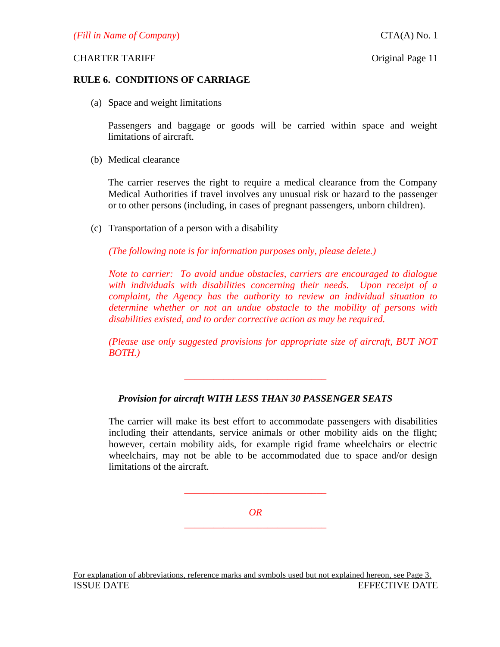# **RULE 6. CONDITIONS OF CARRIAGE**

(a) Space and weight limitations

Passengers and baggage or goods will be carried within space and weight limitations of aircraft.

(b) Medical clearance

The carrier reserves the right to require a medical clearance from the Company Medical Authorities if travel involves any unusual risk or hazard to the passenger or to other persons (including, in cases of pregnant passengers, unborn children).

(c) Transportation of a person with a disability

*(The following note is for information purposes only, please delete.)* 

*Note to carrier: To avoid undue obstacles, carriers are encouraged to dialogue with individuals with disabilities concerning their needs. Upon receipt of a complaint, the Agency has the authority to review an individual situation to determine whether or not an undue obstacle to the mobility of persons with disabilities existed, and to order corrective action as may be required.* 

*(Please use only suggested provisions for appropriate size of aircraft, BUT NOT BOTH.)*

# *Provision for aircraft WITH LESS THAN 30 PASSENGER SEATS*

*\_\_\_\_\_\_\_\_\_\_\_\_\_\_\_\_\_\_\_\_\_\_\_\_\_\_\_\_\_* 

The carrier will make its best effort to accommodate passengers with disabilities including their attendants, service animals or other mobility aids on the flight; however, certain mobility aids, for example rigid frame wheelchairs or electric wheelchairs, may not be able to be accommodated due to space and/or design limitations of the aircraft.

> *OR*  \_\_\_\_\_\_\_\_\_\_\_\_\_\_\_\_\_\_\_\_\_\_\_\_\_\_\_\_\_

> \_\_\_\_\_\_\_\_\_\_\_\_\_\_\_\_\_\_\_\_\_\_\_\_\_\_\_\_\_

For explanation of abbreviations, reference marks and symbols used but not explained hereon, see Page 3. ISSUE DATE EFFECTIVE DATE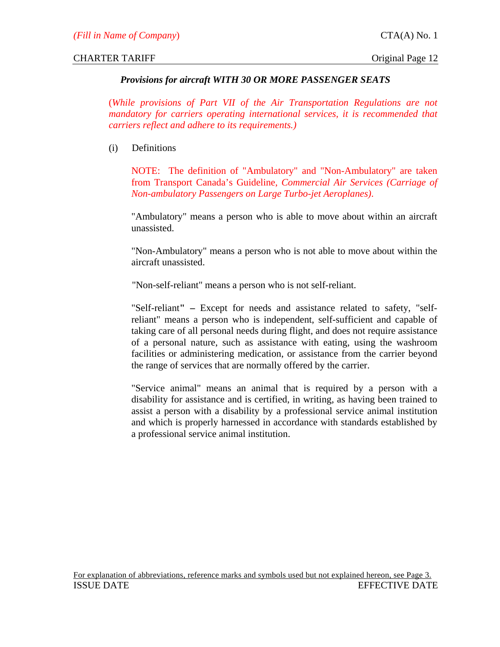# *Provisions for aircraft WITH 30 OR MORE PASSENGER SEATS*

(*While provisions of Part VII of the Air Transportation Regulations are not mandatory for carriers operating international services, it is recommended that carriers reflect and adhere to its requirements.)*

(i) Definitions

NOTE: The definition of "Ambulatory" and "Non-Ambulatory" are taken from Transport Canada's Guideline, *Commercial Air Services (Carriage of Non-ambulatory Passengers on Large Turbo-jet Aeroplanes)*.

"Ambulatory" means a person who is able to move about within an aircraft unassisted.

"Non-Ambulatory" means a person who is not able to move about within the aircraft unassisted.

"Non-self-reliant" means a person who is not self-reliant.

"Self-reliant**" –** Except for needs and assistance related to safety, "selfreliant" means a person who is independent, self-sufficient and capable of taking care of all personal needs during flight, and does not require assistance of a personal nature, such as assistance with eating, using the washroom facilities or administering medication, or assistance from the carrier beyond the range of services that are normally offered by the carrier.

"Service animal" means an animal that is required by a person with a disability for assistance and is certified, in writing, as having been trained to assist a person with a disability by a professional service animal institution and which is properly harnessed in accordance with standards established by a professional service animal institution.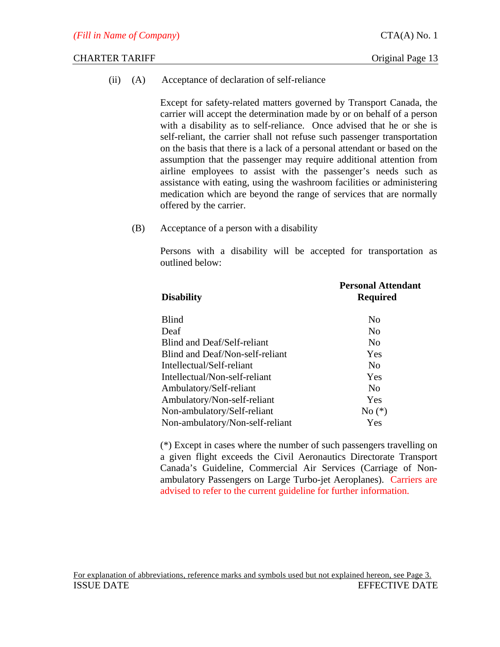(ii) (A) Acceptance of declaration of self-reliance

Except for safety-related matters governed by Transport Canada, the carrier will accept the determination made by or on behalf of a person with a disability as to self-reliance. Once advised that he or she is self-reliant, the carrier shall not refuse such passenger transportation on the basis that there is a lack of a personal attendant or based on the assumption that the passenger may require additional attention from airline employees to assist with the passenger's needs such as assistance with eating, using the washroom facilities or administering medication which are beyond the range of services that are normally offered by the carrier.

(B) Acceptance of a person with a disability

Persons with a disability will be accepted for transportation as outlined below:

| <b>Disability</b>               | <b>Personal Attendant</b><br><b>Required</b> |
|---------------------------------|----------------------------------------------|
| <b>Blind</b>                    | N <sub>0</sub>                               |
| Deaf                            | N <sub>0</sub>                               |
| Blind and Deaf/Self-reliant     | N <sub>0</sub>                               |
| Blind and Deaf/Non-self-reliant | Yes                                          |
| Intellectual/Self-reliant       | N <sub>0</sub>                               |
| Intellectual/Non-self-reliant   | Yes                                          |
| Ambulatory/Self-reliant         | N <sub>0</sub>                               |
| Ambulatory/Non-self-reliant     | Yes                                          |
| Non-ambulatory/Self-reliant     | $No (*)$                                     |
| Non-ambulatory/Non-self-reliant | Yes                                          |

(\*) Except in cases where the number of such passengers travelling on a given flight exceeds the Civil Aeronautics Directorate Transport Canada's Guideline, Commercial Air Services (Carriage of Nonambulatory Passengers on Large Turbo-jet Aeroplanes). Carriers are advised to refer to the current guideline for further information.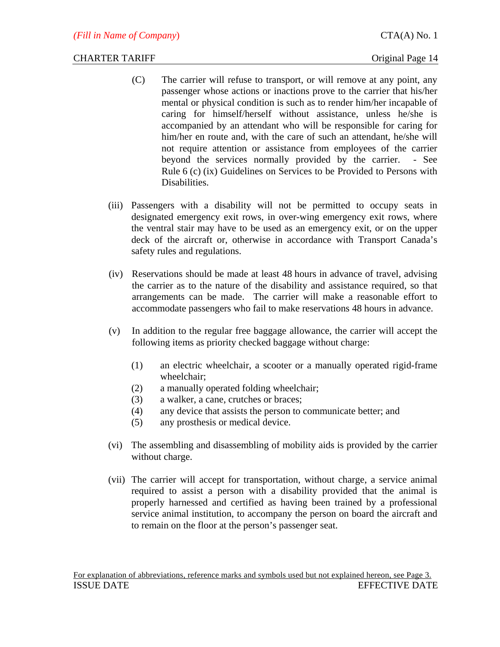- (C) The carrier will refuse to transport, or will remove at any point, any passenger whose actions or inactions prove to the carrier that his/her mental or physical condition is such as to render him/her incapable of caring for himself/herself without assistance, unless he/she is accompanied by an attendant who will be responsible for caring for him/her en route and, with the care of such an attendant, he/she will not require attention or assistance from employees of the carrier beyond the services normally provided by the carrier. - See Rule 6 (c) (ix) Guidelines on Services to be Provided to Persons with Disabilities.
- (iii) Passengers with a disability will not be permitted to occupy seats in designated emergency exit rows, in over-wing emergency exit rows, where the ventral stair may have to be used as an emergency exit, or on the upper deck of the aircraft or, otherwise in accordance with Transport Canada's safety rules and regulations.
- (iv) Reservations should be made at least 48 hours in advance of travel, advising the carrier as to the nature of the disability and assistance required, so that arrangements can be made. The carrier will make a reasonable effort to accommodate passengers who fail to make reservations 48 hours in advance.
- (v) In addition to the regular free baggage allowance, the carrier will accept the following items as priority checked baggage without charge:
	- (1) an electric wheelchair, a scooter or a manually operated rigid-frame wheelchair;
	- (2) a manually operated folding wheelchair;
	- (3) a walker, a cane, crutches or braces;
	- (4) any device that assists the person to communicate better; and
	- (5) any prosthesis or medical device.
- (vi) The assembling and disassembling of mobility aids is provided by the carrier without charge.
- (vii) The carrier will accept for transportation, without charge, a service animal required to assist a person with a disability provided that the animal is properly harnessed and certified as having been trained by a professional service animal institution, to accompany the person on board the aircraft and to remain on the floor at the person's passenger seat.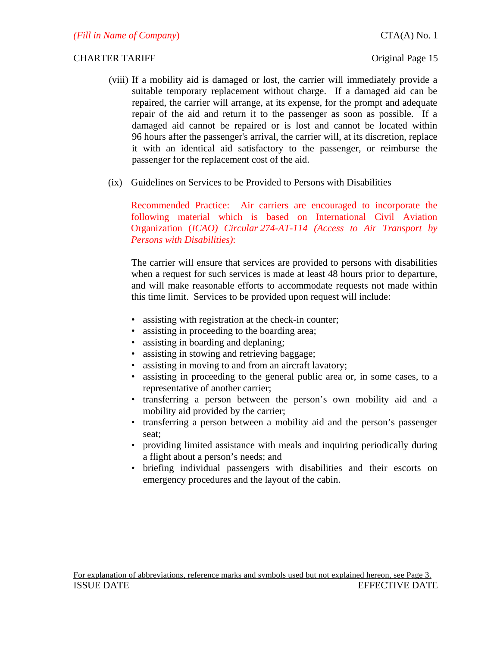- (viii) If a mobility aid is damaged or lost, the carrier will immediately provide a suitable temporary replacement without charge. If a damaged aid can be repaired, the carrier will arrange, at its expense, for the prompt and adequate repair of the aid and return it to the passenger as soon as possible. If a damaged aid cannot be repaired or is lost and cannot be located within 96 hours after the passenger's arrival, the carrier will, at its discretion, replace it with an identical aid satisfactory to the passenger, or reimburse the passenger for the replacement cost of the aid.
- (ix) Guidelines on Services to be Provided to Persons with Disabilities

Recommended Practice: Air carriers are encouraged to incorporate the following material which is based on International Civil Aviation Organization (*ICAO) Circular 274-AT-114 (Access to Air Transport by Persons with Disabilities)*:

The carrier will ensure that services are provided to persons with disabilities when a request for such services is made at least 48 hours prior to departure, and will make reasonable efforts to accommodate requests not made within this time limit. Services to be provided upon request will include:

- assisting with registration at the check-in counter;
- assisting in proceeding to the boarding area;
- assisting in boarding and deplaning;
- assisting in stowing and retrieving baggage;
- assisting in moving to and from an aircraft lavatory;
- assisting in proceeding to the general public area or, in some cases, to a representative of another carrier;
- transferring a person between the person's own mobility aid and a mobility aid provided by the carrier;
- transferring a person between a mobility aid and the person's passenger seat;
- providing limited assistance with meals and inquiring periodically during a flight about a person's needs; and
- briefing individual passengers with disabilities and their escorts on emergency procedures and the layout of the cabin.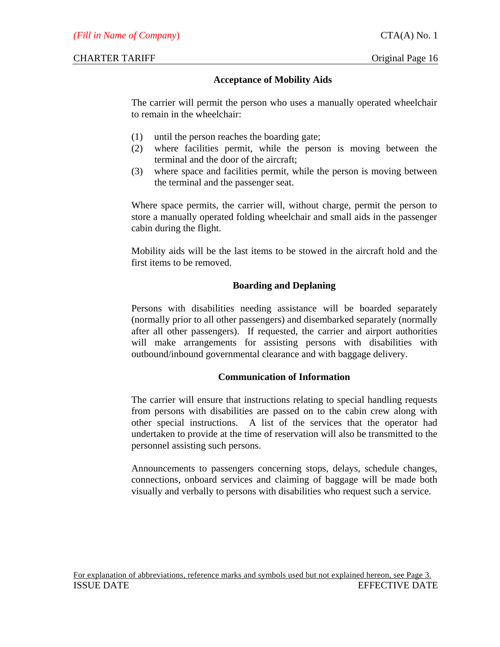# **Acceptance of Mobility Aids**

The carrier will permit the person who uses a manually operated wheelchair to remain in the wheelchair:

- (1) until the person reaches the boarding gate;
- (2) where facilities permit, while the person is moving between the terminal and the door of the aircraft;
- (3) where space and facilities permit, while the person is moving between the terminal and the passenger seat.

Where space permits, the carrier will, without charge, permit the person to store a manually operated folding wheelchair and small aids in the passenger cabin during the flight.

Mobility aids will be the last items to be stowed in the aircraft hold and the first items to be removed.

# **Boarding and Deplaning**

Persons with disabilities needing assistance will be boarded separately (normally prior to all other passengers) and disembarked separately (normally after all other passengers). If requested, the carrier and airport authorities will make arrangements for assisting persons with disabilities with outbound/inbound governmental clearance and with baggage delivery.

# **Communication of Information**

The carrier will ensure that instructions relating to special handling requests from persons with disabilities are passed on to the cabin crew along with other special instructions. A list of the services that the operator had undertaken to provide at the time of reservation will also be transmitted to the personnel assisting such persons.

Announcements to passengers concerning stops, delays, schedule changes, connections, onboard services and claiming of baggage will be made both visually and verbally to persons with disabilities who request such a service.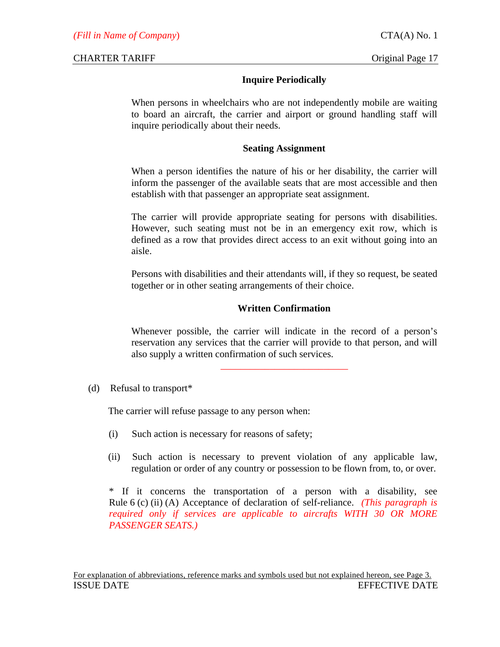# **Inquire Periodically**

When persons in wheelchairs who are not independently mobile are waiting to board an aircraft, the carrier and airport or ground handling staff will inquire periodically about their needs.

# **Seating Assignment**

When a person identifies the nature of his or her disability, the carrier will inform the passenger of the available seats that are most accessible and then establish with that passenger an appropriate seat assignment.

The carrier will provide appropriate seating for persons with disabilities. However, such seating must not be in an emergency exit row, which is defined as a row that provides direct access to an exit without going into an aisle.

Persons with disabilities and their attendants will, if they so request, be seated together or in other seating arrangements of their choice.

# **Written Confirmation**

Whenever possible, the carrier will indicate in the record of a person's reservation any services that the carrier will provide to that person, and will also supply a written confirmation of such services.

\_\_\_\_\_\_\_\_\_\_\_\_\_\_\_\_\_\_\_\_\_\_\_\_\_\_

# (d) Refusal to transport\*

The carrier will refuse passage to any person when:

- (i) Such action is necessary for reasons of safety;
- (ii) Such action is necessary to prevent violation of any applicable law, regulation or order of any country or possession to be flown from, to, or over.

\* If it concerns the transportation of a person with a disability, see Rule 6 (c) (ii) (A) Acceptance of declaration of self-reliance. *(This paragraph is required only if services are applicable to aircrafts WITH 30 OR MORE PASSENGER SEATS.)*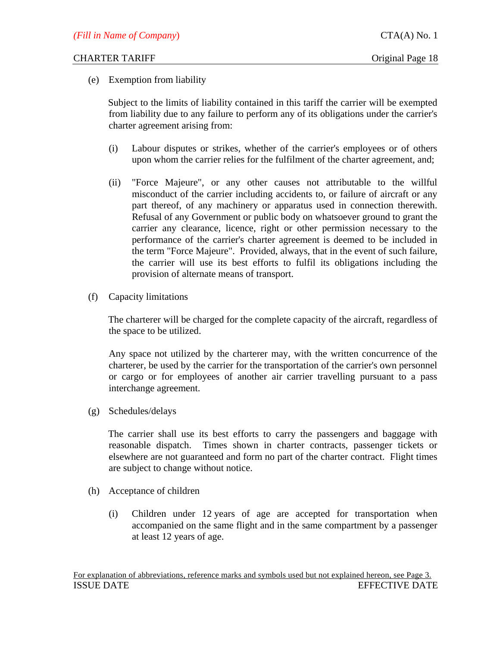(e) Exemption from liability

Subject to the limits of liability contained in this tariff the carrier will be exempted from liability due to any failure to perform any of its obligations under the carrier's charter agreement arising from:

- (i) Labour disputes or strikes, whether of the carrier's employees or of others upon whom the carrier relies for the fulfilment of the charter agreement, and;
- (ii) "Force Majeure", or any other causes not attributable to the willful misconduct of the carrier including accidents to, or failure of aircraft or any part thereof, of any machinery or apparatus used in connection therewith. Refusal of any Government or public body on whatsoever ground to grant the carrier any clearance, licence, right or other permission necessary to the performance of the carrier's charter agreement is deemed to be included in the term "Force Majeure". Provided, always, that in the event of such failure, the carrier will use its best efforts to fulfil its obligations including the provision of alternate means of transport.
- (f) Capacity limitations

The charterer will be charged for the complete capacity of the aircraft, regardless of the space to be utilized.

 Any space not utilized by the charterer may, with the written concurrence of the charterer, be used by the carrier for the transportation of the carrier's own personnel or cargo or for employees of another air carrier travelling pursuant to a pass interchange agreement.

(g) Schedules/delays

The carrier shall use its best efforts to carry the passengers and baggage with reasonable dispatch. Times shown in charter contracts, passenger tickets or elsewhere are not guaranteed and form no part of the charter contract. Flight times are subject to change without notice.

- (h) Acceptance of children
	- (i) Children under 12 years of age are accepted for transportation when accompanied on the same flight and in the same compartment by a passenger at least 12 years of age.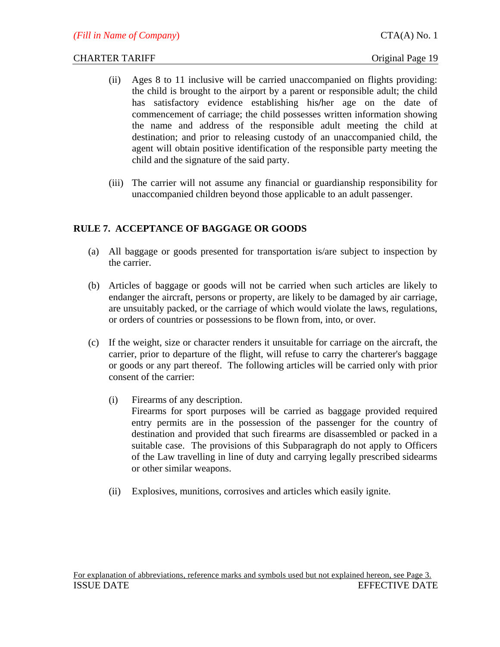- (ii) Ages 8 to 11 inclusive will be carried unaccompanied on flights providing: the child is brought to the airport by a parent or responsible adult; the child has satisfactory evidence establishing his**/**her age on the date of commencement of carriage; the child possesses written information showing the name and address of the responsible adult meeting the child at destination; and prior to releasing custody of an unaccompanied child, the agent will obtain positive identification of the responsible party meeting the child and the signature of the said party.
- (iii) The carrier will not assume any financial or guardianship responsibility for unaccompanied children beyond those applicable to an adult passenger.

# **RULE 7. ACCEPTANCE OF BAGGAGE OR GOODS**

- (a) All baggage or goods presented for transportation is/are subject to inspection by the carrier.
- (b) Articles of baggage or goods will not be carried when such articles are likely to endanger the aircraft, persons or property, are likely to be damaged by air carriage, are unsuitably packed, or the carriage of which would violate the laws, regulations, or orders of countries or possessions to be flown from, into, or over.
- (c) If the weight, size or character renders it unsuitable for carriage on the aircraft, the carrier, prior to departure of the flight, will refuse to carry the charterer's baggage or goods or any part thereof. The following articles will be carried only with prior consent of the carrier:
	- (i) Firearms of any description. Firearms for sport purposes will be carried as baggage provided required entry permits are in the possession of the passenger for the country of destination and provided that such firearms are disassembled or packed in a suitable case. The provisions of this Subparagraph do not apply to Officers of the Law travelling in line of duty and carrying legally prescribed sidearms or other similar weapons.
	- (ii) Explosives, munitions, corrosives and articles which easily ignite.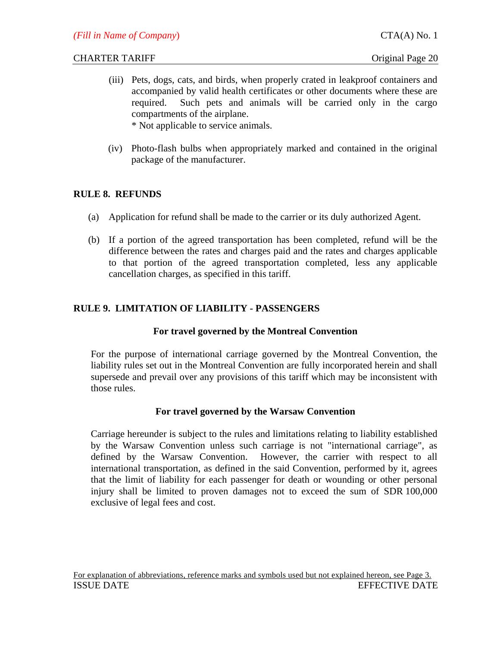- (iii) Pets, dogs, cats, and birds, when properly crated in leakproof containers and accompanied by valid health certificates or other documents where these are required. Such pets and animals will be carried only in the cargo compartments of the airplane. \* Not applicable to service animals.
- (iv) Photo-flash bulbs when appropriately marked and contained in the original package of the manufacturer.

# **RULE 8. REFUNDS**

- (a) Application for refund shall be made to the carrier or its duly authorized Agent.
- (b) If a portion of the agreed transportation has been completed, refund will be the difference between the rates and charges paid and the rates and charges applicable to that portion of the agreed transportation completed, less any applicable cancellation charges, as specified in this tariff.

# **RULE 9. LIMITATION OF LIABILITY - PASSENGERS**

# **For travel governed by the Montreal Convention**

For the purpose of international carriage governed by the Montreal Convention, the liability rules set out in the Montreal Convention are fully incorporated herein and shall supersede and prevail over any provisions of this tariff which may be inconsistent with those rules.

# **For travel governed by the Warsaw Convention**

Carriage hereunder is subject to the rules and limitations relating to liability established by the Warsaw Convention unless such carriage is not "international carriage", as defined by the Warsaw Convention. However, the carrier with respect to all international transportation, as defined in the said Convention, performed by it, agrees that the limit of liability for each passenger for death or wounding or other personal injury shall be limited to proven damages not to exceed the sum of SDR 100,000 exclusive of legal fees and cost.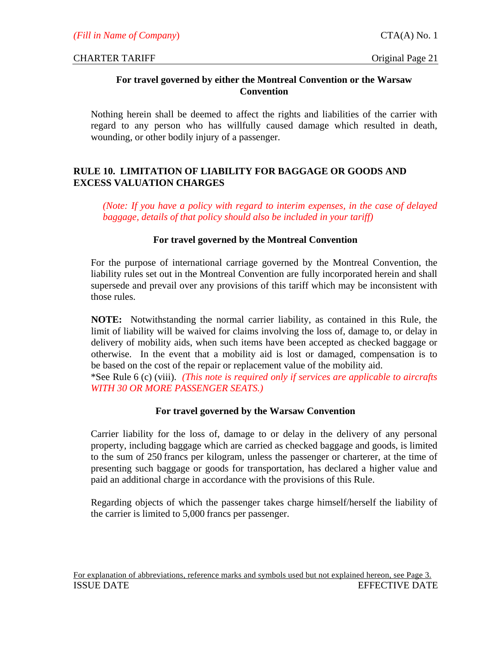# **For travel governed by either the Montreal Convention or the Warsaw Convention**

Nothing herein shall be deemed to affect the rights and liabilities of the carrier with regard to any person who has willfully caused damage which resulted in death, wounding, or other bodily injury of a passenger.

# **RULE 10. LIMITATION OF LIABILITY FOR BAGGAGE OR GOODS AND EXCESS VALUATION CHARGES**

*(Note: If you have a policy with regard to interim expenses, in the case of delayed baggage, details of that policy should also be included in your tariff)*

# **For travel governed by the Montreal Convention**

For the purpose of international carriage governed by the Montreal Convention, the liability rules set out in the Montreal Convention are fully incorporated herein and shall supersede and prevail over any provisions of this tariff which may be inconsistent with those rules.

**NOTE:** Notwithstanding the normal carrier liability, as contained in this Rule, the limit of liability will be waived for claims involving the loss of, damage to, or delay in delivery of mobility aids, when such items have been accepted as checked baggage or otherwise. In the event that a mobility aid is lost or damaged, compensation is to be based on the cost of the repair or replacement value of the mobility aid.

\*See Rule 6 (c) (viii). *(This note is required only if services are applicable to aircrafts WITH 30 OR MORE PASSENGER SEATS.)*

# **For travel governed by the Warsaw Convention**

Carrier liability for the loss of, damage to or delay in the delivery of any personal property, including baggage which are carried as checked baggage and goods, is limited to the sum of 250 francs per kilogram, unless the passenger or charterer, at the time of presenting such baggage or goods for transportation, has declared a higher value and paid an additional charge in accordance with the provisions of this Rule.

Regarding objects of which the passenger takes charge himself/herself the liability of the carrier is limited to 5,000 francs per passenger.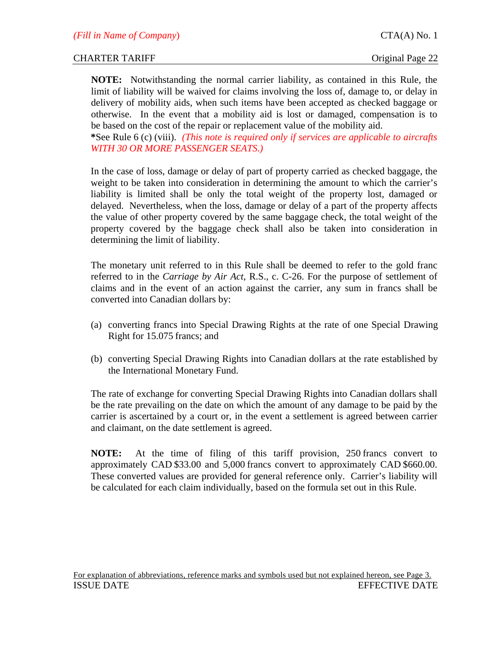**NOTE:** Notwithstanding the normal carrier liability, as contained in this Rule, the limit of liability will be waived for claims involving the loss of, damage to, or delay in delivery of mobility aids, when such items have been accepted as checked baggage or otherwise. In the event that a mobility aid is lost or damaged, compensation is to be based on the cost of the repair or replacement value of the mobility aid.

**\***See Rule 6 (c) (viii). *(This note is required only if services are applicable to aircrafts WITH 30 OR MORE PASSENGER SEATS.)*

In the case of loss, damage or delay of part of property carried as checked baggage, the weight to be taken into consideration in determining the amount to which the carrier's liability is limited shall be only the total weight of the property lost, damaged or delayed. Nevertheless, when the loss, damage or delay of a part of the property affects the value of other property covered by the same baggage check, the total weight of the property covered by the baggage check shall also be taken into consideration in determining the limit of liability.

The monetary unit referred to in this Rule shall be deemed to refer to the gold franc referred to in the *Carriage by Air Act*, R.S., c. C-26. For the purpose of settlement of claims and in the event of an action against the carrier, any sum in francs shall be converted into Canadian dollars by:

- (a) converting francs into Special Drawing Rights at the rate of one Special Drawing Right for 15.075 francs; and
- (b) converting Special Drawing Rights into Canadian dollars at the rate established by the International Monetary Fund.

The rate of exchange for converting Special Drawing Rights into Canadian dollars shall be the rate prevailing on the date on which the amount of any damage to be paid by the carrier is ascertained by a court or, in the event a settlement is agreed between carrier and claimant, on the date settlement is agreed.

**NOTE:** At the time of filing of this tariff provision, 250 francs convert to approximately CAD \$33.00 and 5,000 francs convert to approximately CAD \$660.00. These converted values are provided for general reference only. Carrier's liability will be calculated for each claim individually, based on the formula set out in this Rule.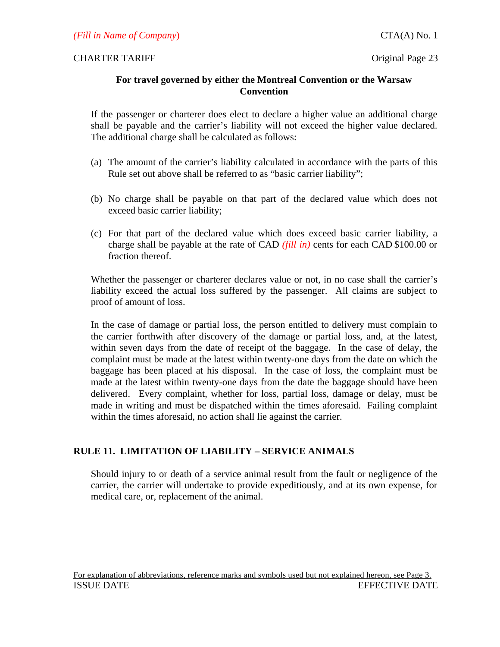# **For travel governed by either the Montreal Convention or the Warsaw Convention**

If the passenger or charterer does elect to declare a higher value an additional charge shall be payable and the carrier's liability will not exceed the higher value declared. The additional charge shall be calculated as follows:

- (a) The amount of the carrier's liability calculated in accordance with the parts of this Rule set out above shall be referred to as "basic carrier liability";
- (b) No charge shall be payable on that part of the declared value which does not exceed basic carrier liability;
- (c) For that part of the declared value which does exceed basic carrier liability, a charge shall be payable at the rate of CAD *(fill in)* cents for each CAD \$100.00 or fraction thereof.

Whether the passenger or charterer declares value or not, in no case shall the carrier's liability exceed the actual loss suffered by the passenger. All claims are subject to proof of amount of loss.

In the case of damage or partial loss, the person entitled to delivery must complain to the carrier forthwith after discovery of the damage or partial loss, and, at the latest, within seven days from the date of receipt of the baggage. In the case of delay, the complaint must be made at the latest within twenty-one days from the date on which the baggage has been placed at his disposal. In the case of loss, the complaint must be made at the latest within twenty-one days from the date the baggage should have been delivered. Every complaint, whether for loss, partial loss, damage or delay, must be made in writing and must be dispatched within the times aforesaid. Failing complaint within the times aforesaid, no action shall lie against the carrier.

# **RULE 11. LIMITATION OF LIABILITY – SERVICE ANIMALS**

Should injury to or death of a service animal result from the fault or negligence of the carrier, the carrier will undertake to provide expeditiously, and at its own expense, for medical care, or, replacement of the animal.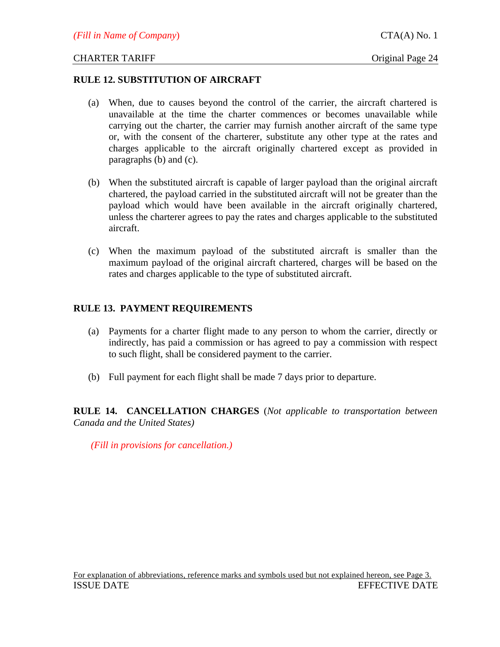#### **RULE 12. SUBSTITUTION OF AIRCRAFT**

- (a) When, due to causes beyond the control of the carrier, the aircraft chartered is unavailable at the time the charter commences or becomes unavailable while carrying out the charter, the carrier may furnish another aircraft of the same type or, with the consent of the charterer, substitute any other type at the rates and charges applicable to the aircraft originally chartered except as provided in paragraphs (b) and (c).
- (b) When the substituted aircraft is capable of larger payload than the original aircraft chartered, the payload carried in the substituted aircraft will not be greater than the payload which would have been available in the aircraft originally chartered, unless the charterer agrees to pay the rates and charges applicable to the substituted aircraft.
- (c) When the maximum payload of the substituted aircraft is smaller than the maximum payload of the original aircraft chartered, charges will be based on the rates and charges applicable to the type of substituted aircraft.

# **RULE 13. PAYMENT REQUIREMENTS**

- (a) Payments for a charter flight made to any person to whom the carrier, directly or indirectly, has paid a commission or has agreed to pay a commission with respect to such flight, shall be considered payment to the carrier.
- (b) Full payment for each flight shall be made 7 days prior to departure.

**RULE 14. CANCELLATION CHARGES** (*Not applicable to transportation between Canada and the United States)*

*(Fill in provisions for cancellation.)*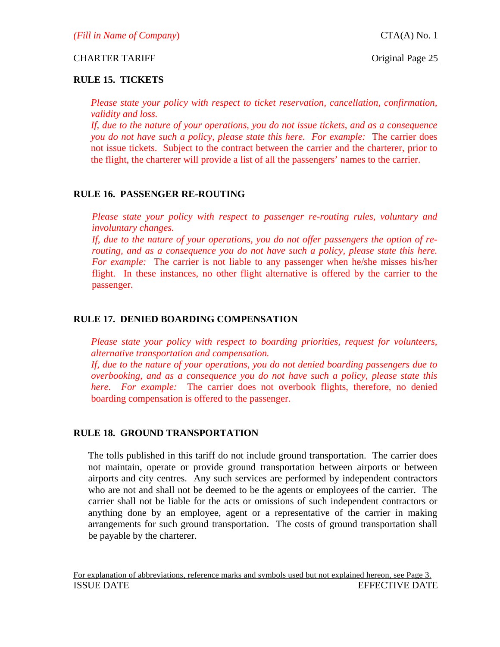# **RULE 15. TICKETS**

*Please state your policy with respect to ticket reservation, cancellation, confirmation, validity and loss.* 

*If, due to the nature of your operations, you do not issue tickets, and as a consequence you do not have such a policy, please state this here. For example:* The carrier does not issue tickets. Subject to the contract between the carrier and the charterer, prior to the flight, the charterer will provide a list of all the passengers' names to the carrier.

# **RULE 16. PASSENGER RE-ROUTING**

*Please state your policy with respect to passenger re-routing rules, voluntary and involuntary changes.* 

*If, due to the nature of your operations, you do not offer passengers the option of rerouting, and as a consequence you do not have such a policy, please state this here. For example:* The carrier is not liable to any passenger when he/she misses his/her flight. In these instances, no other flight alternative is offered by the carrier to the passenger.

# **RULE 17. DENIED BOARDING COMPENSATION**

*Please state your policy with respect to boarding priorities, request for volunteers, alternative transportation and compensation.* 

*If, due to the nature of your operations, you do not denied boarding passengers due to overbooking, and as a consequence you do not have such a policy, please state this here. For example:* The carrier does not overbook flights, therefore, no denied boarding compensation is offered to the passenger.

# **RULE 18. GROUND TRANSPORTATION**

The tolls published in this tariff do not include ground transportation. The carrier does not maintain, operate or provide ground transportation between airports or between airports and city centres. Any such services are performed by independent contractors who are not and shall not be deemed to be the agents or employees of the carrier. The carrier shall not be liable for the acts or omissions of such independent contractors or anything done by an employee, agent or a representative of the carrier in making arrangements for such ground transportation. The costs of ground transportation shall be payable by the charterer.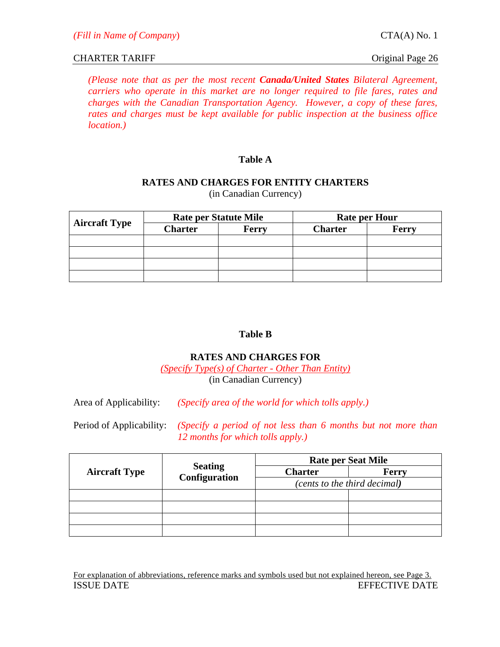*(Please note that as per the most recent Canada/United States Bilateral Agreement, carriers who operate in this market are no longer required to file fares, rates and charges with the Canadian Transportation Agency. However, a copy of these fares, rates and charges must be kept available for public inspection at the business office location.)*

# **Table A**

# **RATES AND CHARGES FOR ENTITY CHARTERS**

| <b>Aircraft Type</b> | <b>Rate per Statute Mile</b> |              | <b>Rate per Hour</b> |       |
|----------------------|------------------------------|--------------|----------------------|-------|
|                      | <b>Charter</b>               | <b>Ferry</b> | <b>Charter</b>       | Ferry |
|                      |                              |              |                      |       |
|                      |                              |              |                      |       |
|                      |                              |              |                      |       |
|                      |                              |              |                      |       |

(in Canadian Currency)

# **Table B**

# **RATES AND CHARGES FOR**

*(Specify Type(s) of Charter - Other Than Entity)* (in Canadian Currency)

Area of Applicability: *(Specify area of the world for which tolls apply.)*

Period of Applicability: *(Specify a period of not less than 6 months but not more than 12 months for which tolls apply.)*

| <b>Aircraft Type</b> | <b>Seating</b><br>Configuration | <b>Rate per Seat Mile</b>    |       |  |
|----------------------|---------------------------------|------------------------------|-------|--|
|                      |                                 | <b>Charter</b>               | Ferry |  |
|                      |                                 | (cents to the third decimal) |       |  |
|                      |                                 |                              |       |  |
|                      |                                 |                              |       |  |
|                      |                                 |                              |       |  |
|                      |                                 |                              |       |  |

For explanation of abbreviations, reference marks and symbols used but not explained hereon, see Page 3. ISSUE DATE EFFECTIVE DATE